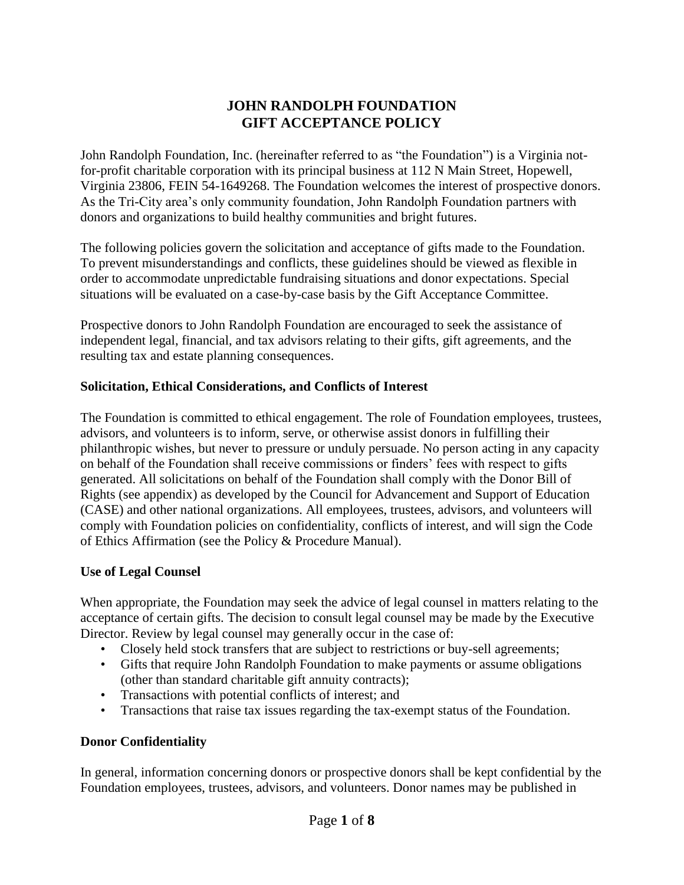# **JOHN RANDOLPH FOUNDATION GIFT ACCEPTANCE POLICY**

John Randolph Foundation, Inc. (hereinafter referred to as "the Foundation") is a Virginia notfor-profit charitable corporation with its principal business at 112 N Main Street, Hopewell, Virginia 23806, FEIN 54-1649268. The Foundation welcomes the interest of prospective donors. As the Tri-City area's only community foundation, John Randolph Foundation partners with donors and organizations to build healthy communities and bright futures.

The following policies govern the solicitation and acceptance of gifts made to the Foundation. To prevent misunderstandings and conflicts, these guidelines should be viewed as flexible in order to accommodate unpredictable fundraising situations and donor expectations. Special situations will be evaluated on a case-by-case basis by the Gift Acceptance Committee.

Prospective donors to John Randolph Foundation are encouraged to seek the assistance of independent legal, financial, and tax advisors relating to their gifts, gift agreements, and the resulting tax and estate planning consequences.

## **Solicitation, Ethical Considerations, and Conflicts of Interest**

The Foundation is committed to ethical engagement. The role of Foundation employees, trustees, advisors, and volunteers is to inform, serve, or otherwise assist donors in fulfilling their philanthropic wishes, but never to pressure or unduly persuade. No person acting in any capacity on behalf of the Foundation shall receive commissions or finders' fees with respect to gifts generated. All solicitations on behalf of the Foundation shall comply with the Donor Bill of Rights (see appendix) as developed by the Council for Advancement and Support of Education (CASE) and other national organizations. All employees, trustees, advisors, and volunteers will comply with Foundation policies on confidentiality, conflicts of interest, and will sign the Code of Ethics Affirmation (see the Policy & Procedure Manual).

## **Use of Legal Counsel**

When appropriate, the Foundation may seek the advice of legal counsel in matters relating to the acceptance of certain gifts. The decision to consult legal counsel may be made by the Executive Director. Review by legal counsel may generally occur in the case of:

- Closely held stock transfers that are subject to restrictions or buy-sell agreements;
- Gifts that require John Randolph Foundation to make payments or assume obligations (other than standard charitable gift annuity contracts);
- Transactions with potential conflicts of interest; and
- Transactions that raise tax issues regarding the tax-exempt status of the Foundation.

# **Donor Confidentiality**

In general, information concerning donors or prospective donors shall be kept confidential by the Foundation employees, trustees, advisors, and volunteers. Donor names may be published in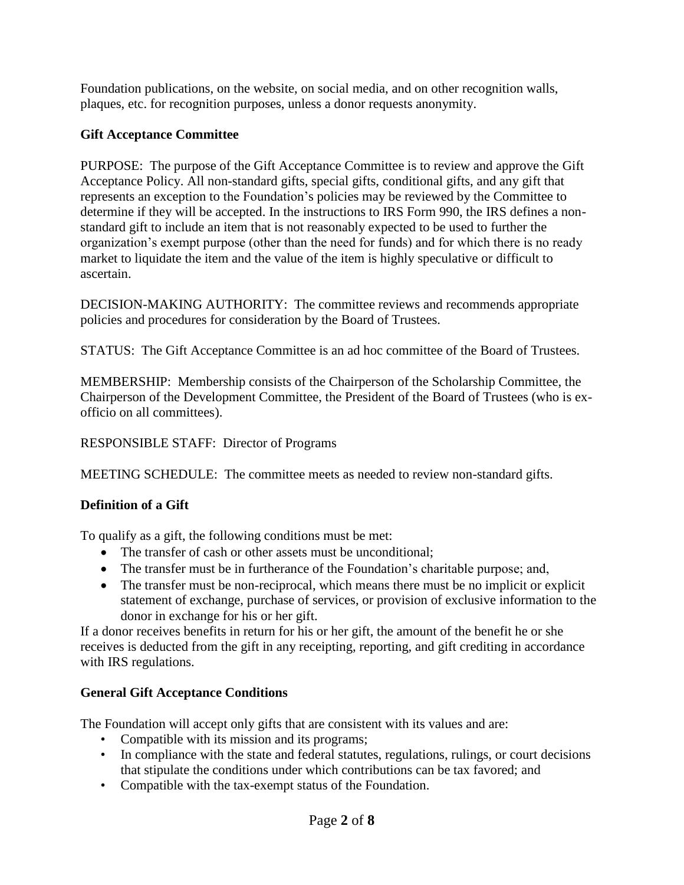Foundation publications, on the website, on social media, and on other recognition walls, plaques, etc. for recognition purposes, unless a donor requests anonymity.

# **Gift Acceptance Committee**

PURPOSE: The purpose of the Gift Acceptance Committee is to review and approve the Gift Acceptance Policy. All non-standard gifts, special gifts, conditional gifts, and any gift that represents an exception to the Foundation's policies may be reviewed by the Committee to determine if they will be accepted. In the instructions to IRS Form 990, the IRS defines a nonstandard gift to include an item that is not reasonably expected to be used to further the organization's exempt purpose (other than the need for funds) and for which there is no ready market to liquidate the item and the value of the item is highly speculative or difficult to ascertain.

DECISION-MAKING AUTHORITY: The committee reviews and recommends appropriate policies and procedures for consideration by the Board of Trustees.

STATUS: The Gift Acceptance Committee is an ad hoc committee of the Board of Trustees.

MEMBERSHIP: Membership consists of the Chairperson of the Scholarship Committee, the Chairperson of the Development Committee, the President of the Board of Trustees (who is exofficio on all committees).

## RESPONSIBLE STAFF: Director of Programs

MEETING SCHEDULE: The committee meets as needed to review non-standard gifts.

## **Definition of a Gift**

To qualify as a gift, the following conditions must be met:

- The transfer of cash or other assets must be unconditional;
- The transfer must be in furtherance of the Foundation's charitable purpose; and,
- The transfer must be non-reciprocal, which means there must be no implicit or explicit statement of exchange, purchase of services, or provision of exclusive information to the donor in exchange for his or her gift.

If a donor receives benefits in return for his or her gift, the amount of the benefit he or she receives is deducted from the gift in any receipting, reporting, and gift crediting in accordance with IRS regulations.

## **General Gift Acceptance Conditions**

The Foundation will accept only gifts that are consistent with its values and are:

- Compatible with its mission and its programs;
- In compliance with the state and federal statutes, regulations, rulings, or court decisions that stipulate the conditions under which contributions can be tax favored; and
- Compatible with the tax-exempt status of the Foundation.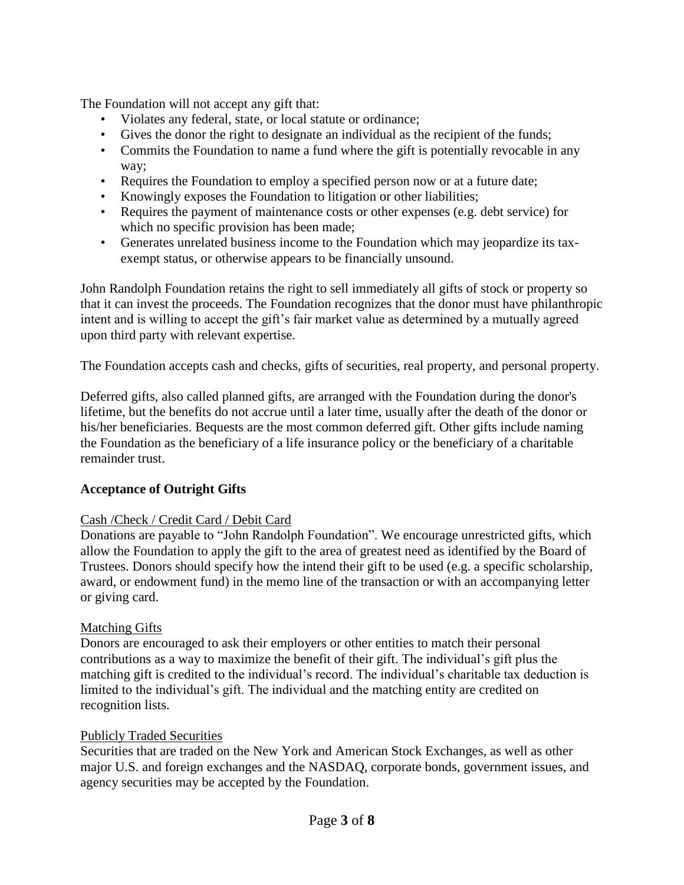The Foundation will not accept any gift that:

- Violates any federal, state, or local statute or ordinance;
- Gives the donor the right to designate an individual as the recipient of the funds;
- Commits the Foundation to name a fund where the gift is potentially revocable in any way;
- Requires the Foundation to employ a specified person now or at a future date;
- Knowingly exposes the Foundation to litigation or other liabilities;
- Requires the payment of maintenance costs or other expenses (e.g. debt service) for which no specific provision has been made;
- Generates unrelated business income to the Foundation which may jeopardize its taxexempt status, or otherwise appears to be financially unsound.

John Randolph Foundation retains the right to sell immediately all gifts of stock or property so that it can invest the proceeds. The Foundation recognizes that the donor must have philanthropic intent and is willing to accept the gift's fair market value as determined by a mutually agreed upon third party with relevant expertise.

The Foundation accepts cash and checks, gifts of securities, real property, and personal property.

Deferred gifts, also called planned gifts, are arranged with the Foundation during the donor's lifetime, but the benefits do not accrue until a later time, usually after the death of the donor or his/her beneficiaries. Bequests are the most common deferred gift. Other gifts include naming the Foundation as the beneficiary of a life insurance policy or the beneficiary of a charitable remainder trust.

# **Acceptance of Outright Gifts**

# Cash /Check / Credit Card / Debit Card

Donations are payable to "John Randolph Foundation". We encourage unrestricted gifts, which allow the Foundation to apply the gift to the area of greatest need as identified by the Board of Trustees. Donors should specify how the intend their gift to be used (e.g. a specific scholarship, award, or endowment fund) in the memo line of the transaction or with an accompanying letter or giving card.

## Matching Gifts

Donors are encouraged to ask their employers or other entities to match their personal contributions as a way to maximize the benefit of their gift. The individual's gift plus the matching gift is credited to the individual's record. The individual's charitable tax deduction is limited to the individual's gift. The individual and the matching entity are credited on recognition lists.

## Publicly Traded Securities

Securities that are traded on the New York and American Stock Exchanges, as well as other major U.S. and foreign exchanges and the NASDAQ, corporate bonds, government issues, and agency securities may be accepted by the Foundation.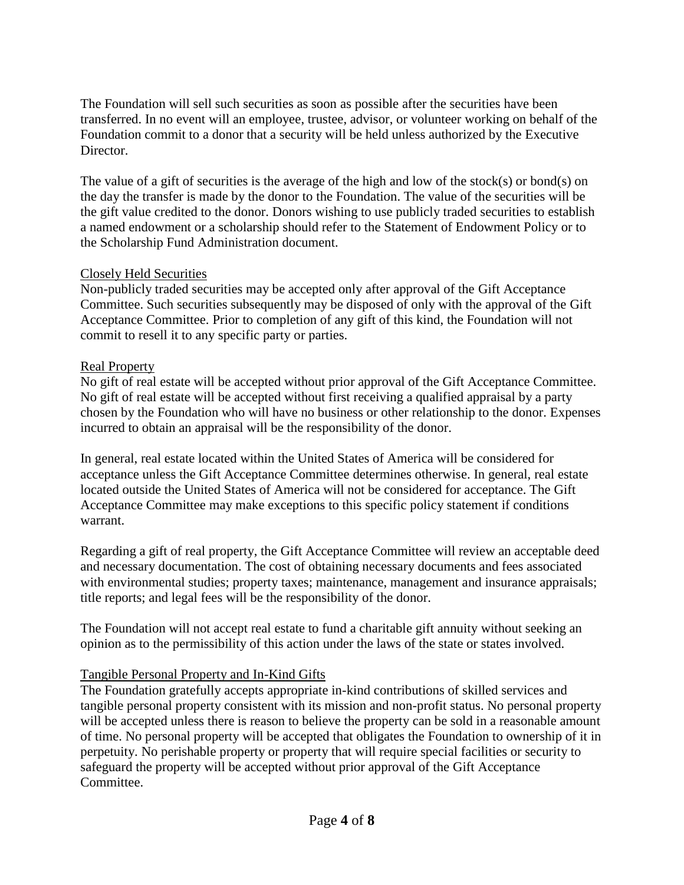The Foundation will sell such securities as soon as possible after the securities have been transferred. In no event will an employee, trustee, advisor, or volunteer working on behalf of the Foundation commit to a donor that a security will be held unless authorized by the Executive Director.

The value of a gift of securities is the average of the high and low of the stock(s) or bond(s) on the day the transfer is made by the donor to the Foundation. The value of the securities will be the gift value credited to the donor. Donors wishing to use publicly traded securities to establish a named endowment or a scholarship should refer to the Statement of Endowment Policy or to the Scholarship Fund Administration document.

# Closely Held Securities

Non-publicly traded securities may be accepted only after approval of the Gift Acceptance Committee. Such securities subsequently may be disposed of only with the approval of the Gift Acceptance Committee. Prior to completion of any gift of this kind, the Foundation will not commit to resell it to any specific party or parties.

## Real Property

No gift of real estate will be accepted without prior approval of the Gift Acceptance Committee. No gift of real estate will be accepted without first receiving a qualified appraisal by a party chosen by the Foundation who will have no business or other relationship to the donor. Expenses incurred to obtain an appraisal will be the responsibility of the donor.

In general, real estate located within the United States of America will be considered for acceptance unless the Gift Acceptance Committee determines otherwise. In general, real estate located outside the United States of America will not be considered for acceptance. The Gift Acceptance Committee may make exceptions to this specific policy statement if conditions warrant.

Regarding a gift of real property, the Gift Acceptance Committee will review an acceptable deed and necessary documentation. The cost of obtaining necessary documents and fees associated with environmental studies; property taxes; maintenance, management and insurance appraisals; title reports; and legal fees will be the responsibility of the donor.

The Foundation will not accept real estate to fund a charitable gift annuity without seeking an opinion as to the permissibility of this action under the laws of the state or states involved.

# Tangible Personal Property and In-Kind Gifts

The Foundation gratefully accepts appropriate in-kind contributions of skilled services and tangible personal property consistent with its mission and non-profit status. No personal property will be accepted unless there is reason to believe the property can be sold in a reasonable amount of time. No personal property will be accepted that obligates the Foundation to ownership of it in perpetuity. No perishable property or property that will require special facilities or security to safeguard the property will be accepted without prior approval of the Gift Acceptance Committee.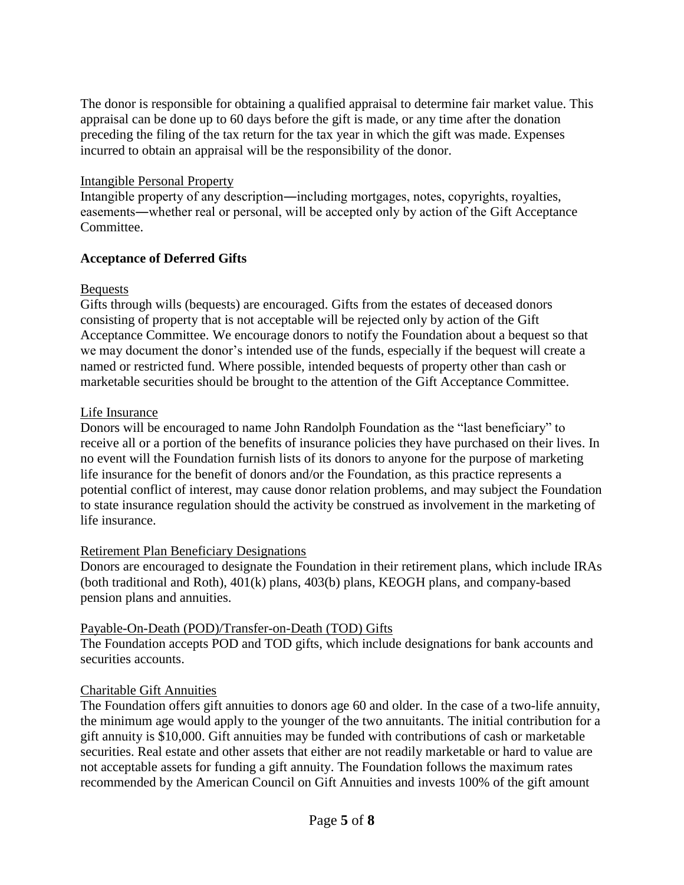The donor is responsible for obtaining a qualified appraisal to determine fair market value. This appraisal can be done up to 60 days before the gift is made, or any time after the donation preceding the filing of the tax return for the tax year in which the gift was made. Expenses incurred to obtain an appraisal will be the responsibility of the donor.

## Intangible Personal Property

Intangible property of any description―including mortgages, notes, copyrights, royalties, easements―whether real or personal, will be accepted only by action of the Gift Acceptance Committee.

# **Acceptance of Deferred Gifts**

## Bequests

Gifts through wills (bequests) are encouraged. Gifts from the estates of deceased donors consisting of property that is not acceptable will be rejected only by action of the Gift Acceptance Committee. We encourage donors to notify the Foundation about a bequest so that we may document the donor's intended use of the funds, especially if the bequest will create a named or restricted fund. Where possible, intended bequests of property other than cash or marketable securities should be brought to the attention of the Gift Acceptance Committee.

## Life Insurance

Donors will be encouraged to name John Randolph Foundation as the "last beneficiary" to receive all or a portion of the benefits of insurance policies they have purchased on their lives. In no event will the Foundation furnish lists of its donors to anyone for the purpose of marketing life insurance for the benefit of donors and/or the Foundation, as this practice represents a potential conflict of interest, may cause donor relation problems, and may subject the Foundation to state insurance regulation should the activity be construed as involvement in the marketing of life insurance.

## Retirement Plan Beneficiary Designations

Donors are encouraged to designate the Foundation in their retirement plans, which include IRAs (both traditional and Roth), 401(k) plans, 403(b) plans, KEOGH plans, and company-based pension plans and annuities.

## Payable-On-Death (POD)/Transfer-on-Death (TOD) Gifts

The Foundation accepts POD and TOD gifts, which include designations for bank accounts and securities accounts.

# Charitable Gift Annuities

The Foundation offers gift annuities to donors age 60 and older. In the case of a two-life annuity, the minimum age would apply to the younger of the two annuitants. The initial contribution for a gift annuity is \$10,000. Gift annuities may be funded with contributions of cash or marketable securities. Real estate and other assets that either are not readily marketable or hard to value are not acceptable assets for funding a gift annuity. The Foundation follows the maximum rates recommended by the American Council on Gift Annuities and invests 100% of the gift amount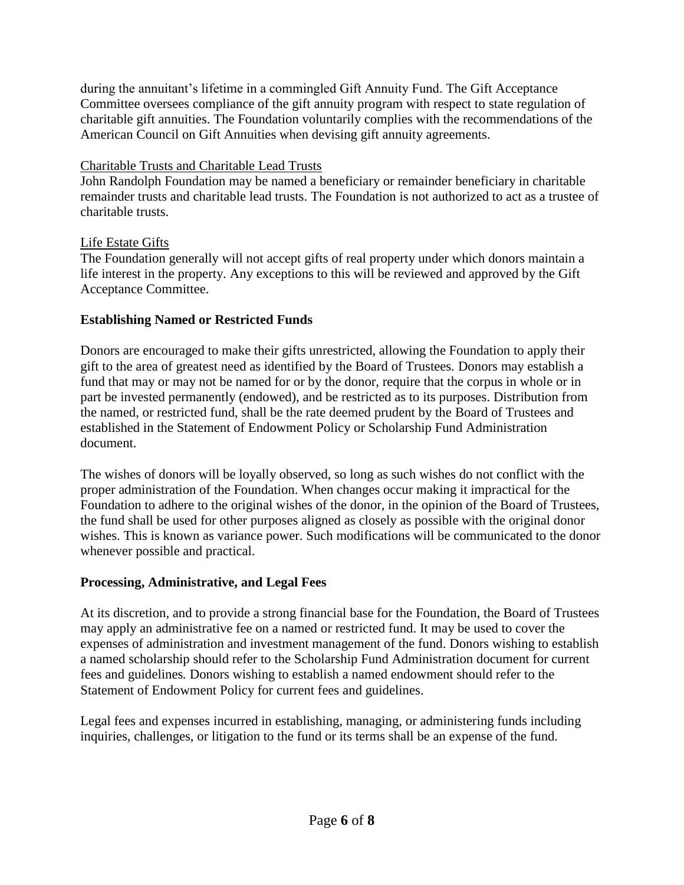during the annuitant's lifetime in a commingled Gift Annuity Fund. The Gift Acceptance Committee oversees compliance of the gift annuity program with respect to state regulation of charitable gift annuities. The Foundation voluntarily complies with the recommendations of the American Council on Gift Annuities when devising gift annuity agreements.

# Charitable Trusts and Charitable Lead Trusts

John Randolph Foundation may be named a beneficiary or remainder beneficiary in charitable remainder trusts and charitable lead trusts. The Foundation is not authorized to act as a trustee of charitable trusts.

# Life Estate Gifts

The Foundation generally will not accept gifts of real property under which donors maintain a life interest in the property. Any exceptions to this will be reviewed and approved by the Gift Acceptance Committee.

# **Establishing Named or Restricted Funds**

Donors are encouraged to make their gifts unrestricted, allowing the Foundation to apply their gift to the area of greatest need as identified by the Board of Trustees. Donors may establish a fund that may or may not be named for or by the donor, require that the corpus in whole or in part be invested permanently (endowed), and be restricted as to its purposes. Distribution from the named, or restricted fund, shall be the rate deemed prudent by the Board of Trustees and established in the Statement of Endowment Policy or Scholarship Fund Administration document.

The wishes of donors will be loyally observed, so long as such wishes do not conflict with the proper administration of the Foundation. When changes occur making it impractical for the Foundation to adhere to the original wishes of the donor, in the opinion of the Board of Trustees, the fund shall be used for other purposes aligned as closely as possible with the original donor wishes. This is known as variance power. Such modifications will be communicated to the donor whenever possible and practical.

# **Processing, Administrative, and Legal Fees**

At its discretion, and to provide a strong financial base for the Foundation, the Board of Trustees may apply an administrative fee on a named or restricted fund. It may be used to cover the expenses of administration and investment management of the fund. Donors wishing to establish a named scholarship should refer to the Scholarship Fund Administration document for current fees and guidelines*.* Donors wishing to establish a named endowment should refer to the Statement of Endowment Policy for current fees and guidelines.

Legal fees and expenses incurred in establishing, managing, or administering funds including inquiries, challenges, or litigation to the fund or its terms shall be an expense of the fund.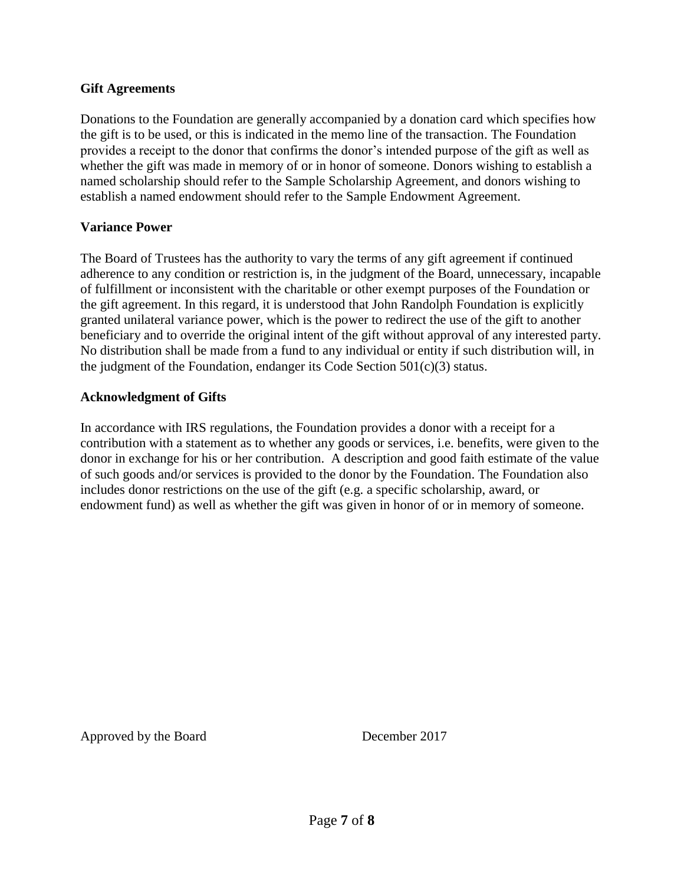#### **Gift Agreements**

Donations to the Foundation are generally accompanied by a donation card which specifies how the gift is to be used, or this is indicated in the memo line of the transaction. The Foundation provides a receipt to the donor that confirms the donor's intended purpose of the gift as well as whether the gift was made in memory of or in honor of someone. Donors wishing to establish a named scholarship should refer to the Sample Scholarship Agreement, and donors wishing to establish a named endowment should refer to the Sample Endowment Agreement.

#### **Variance Power**

The Board of Trustees has the authority to vary the terms of any gift agreement if continued adherence to any condition or restriction is, in the judgment of the Board, unnecessary, incapable of fulfillment or inconsistent with the charitable or other exempt purposes of the Foundation or the gift agreement. In this regard, it is understood that John Randolph Foundation is explicitly granted unilateral variance power, which is the power to redirect the use of the gift to another beneficiary and to override the original intent of the gift without approval of any interested party. No distribution shall be made from a fund to any individual or entity if such distribution will, in the judgment of the Foundation, endanger its Code Section  $501(c)(3)$  status.

#### **Acknowledgment of Gifts**

In accordance with IRS regulations, the Foundation provides a donor with a receipt for a contribution with a statement as to whether any goods or services, i.e. benefits, were given to the donor in exchange for his or her contribution. A description and good faith estimate of the value of such goods and/or services is provided to the donor by the Foundation. The Foundation also includes donor restrictions on the use of the gift (e.g. a specific scholarship, award, or endowment fund) as well as whether the gift was given in honor of or in memory of someone.

Approved by the Board December 2017